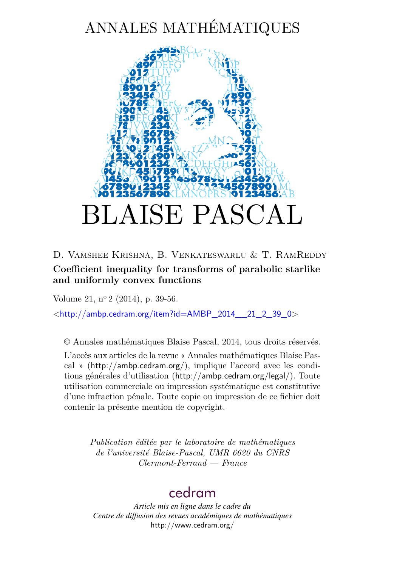# ANNALES MATHÉMATIQUES



# D. Vamshee Krishna, B. Venkateswarlu & T. RamReddy **Coefficient inequality for transforms of parabolic starlike and uniformly convex functions**

Volume 21, n<sup>o</sup> 2 (2014), p. 39-56.

 $\lt$ [http://ambp.cedram.org/item?id=AMBP\\_2014\\_\\_21\\_2\\_39\\_0](http://ambp.cedram.org/item?id=AMBP_2014__21_2_39_0)>

© Annales mathématiques Blaise Pascal, 2014, tous droits réservés.

L'accès aux articles de la revue « Annales mathématiques Blaise Pascal » (<http://ambp.cedram.org/>), implique l'accord avec les conditions générales d'utilisation (<http://ambp.cedram.org/legal/>). Toute utilisation commerciale ou impression systématique est constitutive d'une infraction pénale. Toute copie ou impression de ce fichier doit contenir la présente mention de copyright.

> *Publication éditée par le laboratoire de mathématiques de l'université Blaise-Pascal, UMR 6620 du CNRS Clermont-Ferrand — France*

# [cedram](http://www.cedram.org/)

*Article mis en ligne dans le cadre du Centre de diffusion des revues académiques de mathématiques* <http://www.cedram.org/>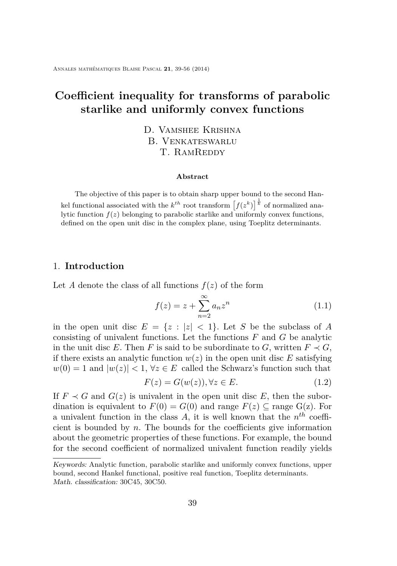# **Coefficient inequality for transforms of parabolic starlike and uniformly convex functions**

D. Vamshee Krishna B. Venkateswarlu T. RAMREDDY

#### **Abstract**

The objective of this paper is to obtain sharp upper bound to the second Hankel functional associated with the  $k^{th}$  root transform  $\left[f(z^k)\right]^{\frac{1}{k}}$  of normalized analytic function  $f(z)$  belonging to parabolic starlike and uniformly convex functions, defined on the open unit disc in the complex plane, using Toeplitz determinants.

## 1. **Introduction**

Let *A* denote the class of all functions  $f(z)$  of the form

$$
f(z) = z + \sum_{n=2}^{\infty} a_n z^n
$$
 (1.1)

in the open unit disc  $E = \{z : |z| < 1\}$ . Let *S* be the subclass of *A* consisting of univalent functions. Let the functions *F* and *G* be analytic in the unit disc *E*. Then *F* is said to be subordinate to *G*, written  $F \prec G$ , if there exists an analytic function  $w(z)$  in the open unit disc  $E$  satisfying  $w(0) = 1$  and  $|w(z)| < 1$ ,  $\forall z \in E$  called the Schwarz's function such that

$$
F(z) = G(w(z)), \forall z \in E.
$$
\n(1.2)

If  $F \prec G$  and  $G(z)$  is univalent in the open unit disc E, then the subordination is equivalent to  $F(0) = G(0)$  and range  $F(z) \subset \text{range } G(z)$ . For a univalent function in the class *A,* it is well known that the *n th* coefficient is bounded by  $n$ . The bounds for the coefficients give information about the geometric properties of these functions. For example, the bound for the second coefficient of normalized univalent function readily yields

Keywords: Analytic function, parabolic starlike and uniformly convex functions, upper bound, second Hankel functional, positive real function, Toeplitz determinants. Math. classification: 30C45, 30C50.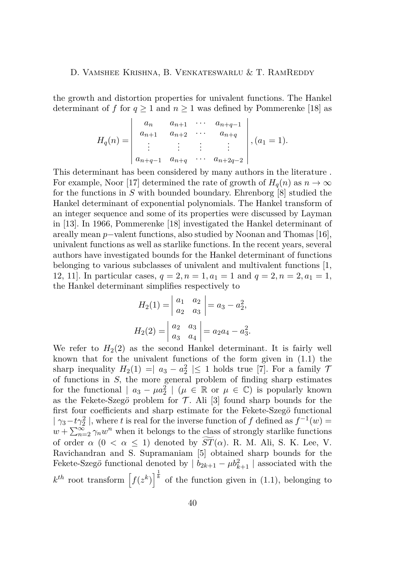the growth and distortion properties for univalent functions. The Hankel determinant of *f* for  $q \ge 1$  and  $n \ge 1$  was defined by Pommerenke [\[18\]](#page-17-0) as

$$
H_q(n) = \begin{vmatrix} a_n & a_{n+1} & \cdots & a_{n+q-1} \\ a_{n+1} & a_{n+2} & \cdots & a_{n+q} \\ \vdots & \vdots & \vdots & \vdots \\ a_{n+q-1} & a_{n+q} & \cdots & a_{n+2q-2} \end{vmatrix}, (a_1 = 1).
$$

This determinant has been considered by many authors in the literature . For example, Noor [\[17\]](#page-17-0) determined the rate of growth of  $H_q(n)$  as  $n \to \infty$ for the functions in *S* with bounded boundary. Ehrenborg [\[8\]](#page-16-0) studied the Hankel determinant of exponential polynomials. The Hankel transform of an integer sequence and some of its properties were discussed by Layman in [\[13\]](#page-16-0). In 1966, Pommerenke [\[18\]](#page-17-0) investigated the Hankel determinant of areally mean *p*−valent functions, also studied by Noonan and Thomas [\[16\]](#page-17-0), univalent functions as well as starlike functions. In the recent years, several authors have investigated bounds for the Hankel determinant of functions belonging to various subclasses of univalent and multivalent functions [\[1,](#page-15-0) [12,](#page-16-0) 11. In particular cases,  $q = 2, n = 1, a_1 = 1$  and  $q = 2, n = 2, a_1 = 1$ , the Hankel determinant simplifies respectively to

$$
H_2(1) = \begin{vmatrix} a_1 & a_2 \\ a_2 & a_3 \end{vmatrix} = a_3 - a_2^2,
$$
  

$$
H_2(2) = \begin{vmatrix} a_2 & a_3 \\ a_3 & a_4 \end{vmatrix} = a_2a_4 - a_3^2.
$$

We refer to  $H_2(2)$  as the second Hankel determinant. It is fairly well known that for the univalent functions of the form given in (1.1) the sharp inequality  $H_2(1) = |a_3 - a_2^2| \le 1$  holds true [\[7\]](#page-16-0). For a family 7 of functions in *S,* the more general problem of finding sharp estimates for the functional  $| a_3 - \mu a_2^2 | (\mu \in \mathbb{R} \text{ or } \mu \in \mathbb{C})$  is popularly known as the Fekete-Szeg $\ddot{o}$  problem for  $\mathcal T$ . Ali [\[3\]](#page-16-0) found sharp bounds for the first four coefficients and sharp estimate for the Fekete-Szeg*o*¨ functional  $|\gamma_3 - t\gamma_2^2|$ , where *t* is real for the inverse function of *f* defined as  $f^{-1}(w) =$  $w + \sum_{n=2}^{\infty} \gamma_n w^n$  when it belongs to the class of strongly starlike functions of order  $\alpha$  ( $0 < \alpha \leq 1$ ) denoted by  $ST(\alpha)$ . R. M. Ali, S. K. Lee, V. Ravichandran and S. Supramaniam [\[5\]](#page-16-0) obtained sharp bounds for the Fekete-Szeg*ö* functional denoted by  $| b_{2k+1} - \mu b_{k+1}^2 |$  associated with the  $k^{th}$  root transform  $\left[f(z^k)\right]^{\frac{1}{k}}$  of the function given in (1.1), belonging to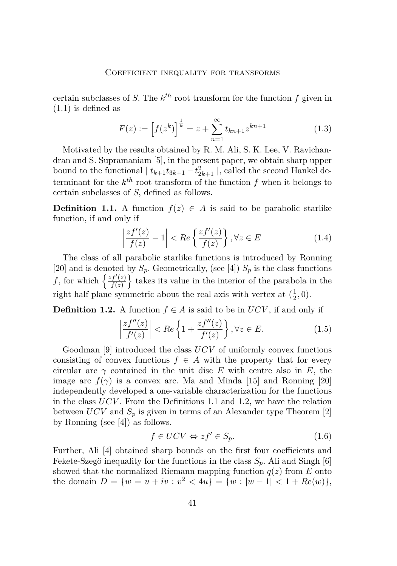certain subclasses of *S*. The  $k^{th}$  root transform for the function  $f$  given in (1.1) is defined as

$$
F(z) := \left[f(z^k)\right]^{\frac{1}{k}} = z + \sum_{n=1}^{\infty} t_{kn+1} z^{kn+1}
$$
 (1.3)

Motivated by the results obtained by R. M. Ali, S. K. Lee, V. Ravichandran and S. Supramaniam [\[5\]](#page-16-0), in the present paper, we obtain sharp upper bound to the functional  $| t_{k+1}t_{3k+1} - t_{2k+1}^2 |$ , called the second Hankel determinant for the  $k^{th}$  root transform of the function  $f$  when it belongs to certain subclasses of *S,* defined as follows.

**Definition 1.1.** A function  $f(z) \in A$  is said to be parabolic starlike function, if and only if

$$
\left|\frac{zf'(z)}{f(z)} - 1\right| < Re\left\{\frac{zf'(z)}{f(z)}\right\}, \forall z \in E \tag{1.4}
$$

The class of all parabolic starlike functions is introduced by Ronning [\[20\]](#page-17-0) and is denoted by  $S_p$ . Geometrically, (see [\[4\]](#page-16-0))  $S_p$  is the class functions *f*, for which  $\frac{zf'(z)}{f(z)}$  $f'(z)$  takes its value in the interior of the parabola in the right half plane symmetric about the real axis with vertex at  $(\frac{1}{2})$  $\frac{1}{2}, 0).$ 

**Definition 1.2.** A function  $f \in A$  is said to be in  $UCV$ , if and only if

$$
\left|\frac{zf''(z)}{f'(z)}\right| < Re\left\{1 + \frac{zf''(z)}{f'(z)}\right\}, \forall z \in E. \tag{1.5}
$$

Goodman [\[9\]](#page-16-0) introduced the class *UCV* of uniformly convex functions consisting of convex functions  $f \in A$  with the property that for every circular arc  $\gamma$  contained in the unit disc *E* with centre also in *E*, the image arc  $f(\gamma)$  is a convex arc. Ma and Minda [\[15\]](#page-17-0) and Ronning [\[20\]](#page-17-0) independently developed a one-variable characterization for the functions in the class *UCV* . From the Definitions 1.1 and 1.2, we have the relation between *UCV* and *S<sup>p</sup>* is given in terms of an Alexander type Theorem [\[2\]](#page-15-0) by Ronning (see [\[4\]](#page-16-0)) as follows.

$$
f \in UCV \Leftrightarrow zf' \in S_p. \tag{1.6}
$$

Further, Ali [\[4\]](#page-16-0) obtained sharp bounds on the first four coefficients and Fekete-Szegö inequality for the functions in the class  $S_p$ . Ali and Singh [\[6\]](#page-16-0) showed that the normalized Riemann mapping function  $q(z)$  from  $E$  onto the domain  $D = \{w = u + iv : v^2 < 4u\} = \{w : |w - 1| < 1 + Re(w)\},\$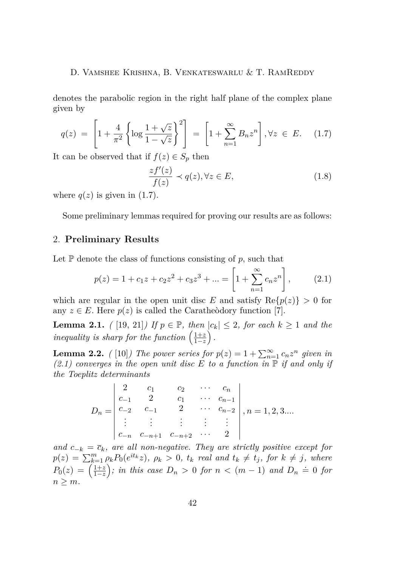denotes the parabolic region in the right half plane of the complex plane given by

$$
q(z) = \left[1 + \frac{4}{\pi^2} \left\{ \log \frac{1 + \sqrt{z}}{1 - \sqrt{z}} \right\}^2 \right] = \left[1 + \sum_{n=1}^{\infty} B_n z^n \right], \forall z \in E. \quad (1.7)
$$

It can be observed that if  $f(z) \in S_p$  then

$$
\frac{zf'(z)}{f(z)} \prec q(z), \forall z \in E,
$$
\n(1.8)

where  $q(z)$  is given in  $(1.7)$ .

Some preliminary lemmas required for proving our results are as follows:

## 2. **Preliminary Results**

Let  $\mathbb P$  denote the class of functions consisting of  $p$ , such that

$$
p(z) = 1 + c_1 z + c_2 z^2 + c_3 z^3 + \dots = \left[ 1 + \sum_{n=1}^{\infty} c_n z^n \right],
$$
 (2.1)

which are regular in the open unit disc *E* and satisfy  $\text{Re}{p(z)} > 0$  for any  $z \in E$ . Here  $p(z)$  is called the Caratheodory function [\[7\]](#page-16-0).

**Lemma 2.1.** *(* [\[19,](#page-17-0) [21\]](#page-17-0)*)* If  $p \in \mathbb{P}$ *, then*  $|c_k| \leq 2$ *, for each*  $k \geq 1$  *and the inequality is sharp for the function*  $\left(\frac{1+z}{1-z}\right)$ .

**Lemma 2.2.** *(* [\[10\]](#page-16-0)*)* The power series for  $p(z) = 1 + \sum_{n=1}^{\infty} c_n z^n$  given in  $(2.1)$  converges in the open unit disc E to a function in  $\mathbb{P}$  if and only if *the Toeplitz determinants*

$$
D_n = \begin{vmatrix} 2 & c_1 & c_2 & \cdots & c_n \\ c_{-1} & 2 & c_1 & \cdots & c_{n-1} \\ c_{-2} & c_{-1} & 2 & \cdots & c_{n-2} \\ \vdots & \vdots & \vdots & \vdots & \vdots \\ c_{-n} & c_{-n+1} & c_{-n+2} & \cdots & 2 \end{vmatrix}, n = 1, 2, 3...
$$

*and*  $c_{-k} = \overline{c}_k$ *, are all non-negative. They are strictly positive except for*  $p(z) = \sum_{k=1}^{m} \rho_k P_0(e^{it_k}z)$ ,  $\rho_k > 0$ ,  $t_k$  real and  $t_k \neq t_j$ , for  $k \neq j$ , where  $P_0(z) = \left(\frac{1+z}{1-z}\right)$ ; in this case  $D_n > 0$  for  $n < (m-1)$  and  $D_n \doteq 0$  for  $n > m$ .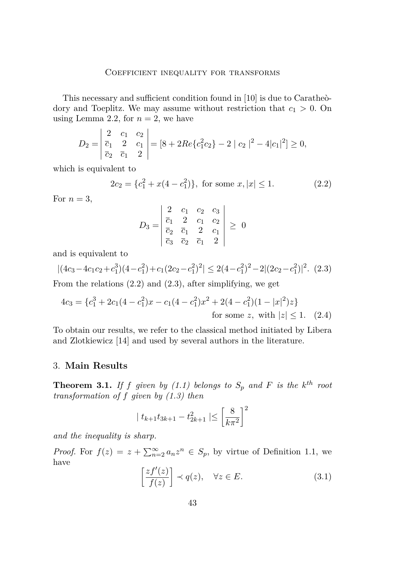This necessary and sufficient condition found in [\[10\]](#page-16-0) is due to Caratheòdory and Toeplitz. We may assume without restriction that *c*<sup>1</sup> *>* 0. On using Lemma 2.2, for  $n = 2$ , we have

$$
D_2 = \begin{vmatrix} 2 & c_1 & c_2 \\ \overline{c}_1 & 2 & c_1 \\ \overline{c}_2 & \overline{c}_1 & 2 \end{vmatrix} = [8 + 2Re\{c_1^2 c_2\} - 2 | c_2 |^2 - 4|c_1 |^2] \ge 0,
$$

which is equivalent to

$$
2c_2 = \{c_1^2 + x(4 - c_1^2)\}, \text{ for some } x, |x| \le 1.
$$
 (2.2)

For  $n=3$ ,

$$
D_3 = \begin{vmatrix} 2 & c_1 & c_2 & c_3 \\ \overline{c}_1 & 2 & c_1 & c_2 \\ \overline{c}_2 & \overline{c}_1 & 2 & c_1 \\ \overline{c}_3 & \overline{c}_2 & \overline{c}_1 & 2 \end{vmatrix} \geq 0
$$

and is equivalent to

$$
|(4c_3 - 4c_1c_2 + c_1^3)(4 - c_1^2) + c_1(2c_2 - c_1^2)^2| \le 2(4 - c_1^2)^2 - 2|(2c_2 - c_1^2)|^2. \tag{2.3}
$$

From the relations (2*.*2) and (2*.*3), after simplifying, we get

$$
4c_3 = \{c_1^3 + 2c_1(4 - c_1^2)x - c_1(4 - c_1^2)x^2 + 2(4 - c_1^2)(1 - |x|^2)z\}
$$
  
for some  $z$ , with  $|z| \le 1$ . (2.4)

To obtain our results, we refer to the classical method initiated by Libera and Zlotkiewicz [\[14\]](#page-17-0) and used by several authors in the literature.

# 3. **Main Results**

**Theorem 3.1.** If *f* given by  $(1.1)$  belongs to  $S_p$  and  $F$  is the  $k^{th}$  root *transformation of f given by (1.3) then*

$$
\mid t_{k+1}t_{3k+1}-t_{2k+1}^2\mid \leq \left[\frac{8}{k\pi^2}\right]^2
$$

*and the inequality is sharp.*

*Proof.* For  $f(z) = z + \sum_{n=2}^{\infty} a_n z^n \in S_p$ , by virtue of Definition 1.1, we have

$$
\left[\frac{zf'(z)}{f(z)}\right] \prec q(z), \quad \forall z \in E. \tag{3.1}
$$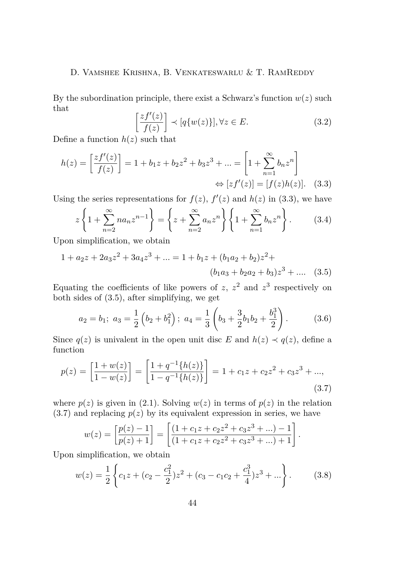By the subordination principle, there exist a Schwarz's function  $w(z)$  such that  $\sqrt{ }$ 

$$
\left[\frac{zf'(z)}{f(z)}\right] \prec [q\{w(z)\}], \forall z \in E. \tag{3.2}
$$

Define a function  $h(z)$  such that

$$
h(z) = \left[\frac{zf'(z)}{f(z)}\right] = 1 + b_1 z + b_2 z^2 + b_3 z^3 + \dots = \left[1 + \sum_{n=1}^{\infty} b_n z^n\right] \Leftrightarrow [zf'(z)] = [f(z)h(z)]. \quad (3.3)
$$

Using the series representations for  $f(z)$ ,  $f'(z)$  and  $h(z)$  in (3.3), we have

$$
z\left\{1+\sum_{n=2}^{\infty}na_nz^{n-1}\right\} = \left\{z+\sum_{n=2}^{\infty}a_nz^n\right\}\left\{1+\sum_{n=1}^{\infty}b_nz^n\right\}.
$$
 (3.4)

Upon simplification, we obtain

$$
1 + a_2 z + 2a_3 z^2 + 3a_4 z^3 + \dots = 1 + b_1 z + (b_1 a_2 + b_2) z^2 + (b_1 a_3 + b_2 a_2 + b_3) z^3 + \dots
$$
 (3.5)

Equating the coefficients of like powers of  $z$ ,  $z^2$  and  $z^3$  respectively on both sides of (3.5), after simplifying, we get

$$
a_2 = b_1; \ a_3 = \frac{1}{2} \left( b_2 + b_1^2 \right); \ a_4 = \frac{1}{3} \left( b_3 + \frac{3}{2} b_1 b_2 + \frac{b_1^3}{2} \right). \tag{3.6}
$$

Since  $q(z)$  is univalent in the open unit disc *E* and  $h(z) \prec q(z)$ , define a function

$$
p(z) = \left[\frac{1+w(z)}{1-w(z)}\right] = \left[\frac{1+q^{-1}\{h(z)\}}{1-q^{-1}\{h(z)\}}\right] = 1 + c_1z + c_2z^2 + c_3z^3 + ...,
$$
\n(3.7)

where  $p(z)$  is given in (2.1). Solving  $w(z)$  in terms of  $p(z)$  in the relation  $(3.7)$  and replacing  $p(z)$  by its equivalent expression in series, we have

$$
w(z) = \left[\frac{p(z) - 1}{p(z) + 1}\right] = \left[\frac{(1 + c_1 z + c_2 z^2 + c_3 z^3 + ...) - 1}{(1 + c_1 z + c_2 z^2 + c_3 z^3 + ...) + 1}\right].
$$

Upon simplification, we obtain

$$
w(z) = \frac{1}{2} \left\{ c_1 z + (c_2 - \frac{c_1^2}{2}) z^2 + (c_3 - c_1 c_2 + \frac{c_1^3}{4}) z^3 + \dots \right\}.
$$
 (3.8)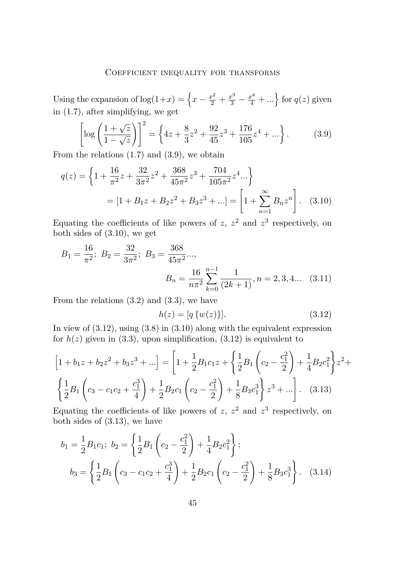Using the expansion of  $log(1+x) = \left\{x - \frac{x^2}{2} + \frac{x^3}{3} - \frac{x^4}{4} + ...\right\}$  for  $q(z)$  given in (1.7), after simplifying, we get

$$
\left[\log\left(\frac{1+\sqrt{z}}{1-\sqrt{z}}\right)\right]^2 = \left\{4z + \frac{8}{3}z^2 + \frac{92}{45}z^3 + \frac{176}{105}z^4 + \dots\right\}.
$$
 (3.9)

From the relations  $(1.7)$  and  $(3.9)$ , we obtain

$$
q(z) = \left\{ 1 + \frac{16}{\pi^2} z + \frac{32}{3\pi^2} z^2 + \frac{368}{45\pi^2} z^3 + \frac{704}{105\pi^2} z^4 ... \right\}
$$
  
=  $[1 + B_1 z + B_2 z^2 + B_3 z^3 + ...] = \left[ 1 + \sum_{n=1}^{\infty} B_n z^n \right].$  (3.10)

Equating the coefficients of like powers of  $z$ ,  $z^2$  and  $z^3$  respectively, on both sides of (3.10), we get

$$
B_1 = \frac{16}{\pi^2}; \ B_2 = \frac{32}{3\pi^2}; \ B_3 = \frac{368}{45\pi^2} \dots,
$$

$$
B_n = \frac{16}{n\pi^2} \sum_{k=0}^{n-1} \frac{1}{(2k+1)}, n = 2, 3, 4 \dots \quad (3.11)
$$

From the relations  $(3.2)$  and  $(3.3)$ , we have

$$
h(z) = [q \{w(z)\}]. \tag{3.12}
$$

In view of  $(3.12)$ , using  $(3.8)$  in  $(3.10)$  along with the equivalent expression for  $h(z)$  given in (3.3), upon simplification, (3.12) is equivalent to

$$
\[1 + b_1 z + b_2 z^2 + b_3 z^3 + \ldots\] = \left[1 + \frac{1}{2} B_1 c_1 z + \left\{\frac{1}{2} B_1 \left(c_2 - \frac{c_1^2}{2}\right) + \frac{1}{4} B_2 c_1^2\right\} z^2 + \left\{\frac{1}{2} B_1 \left(c_3 - c_1 c_2 + \frac{c_1^3}{4}\right) + \frac{1}{2} B_2 c_1 \left(c_2 - \frac{c_1^2}{2}\right) + \frac{1}{8} B_3 c_1^3\right\} z^3 + \ldots\right].
$$
\n(3.13)

Equating the coefficients of like powers of  $z$ ,  $z^2$  and  $z^3$  respectively, on both sides of (3.13), we have

$$
b_1 = \frac{1}{2} B_1 c_1; \ b_2 = \left\{ \frac{1}{2} B_1 \left( c_2 - \frac{c_1^2}{2} \right) + \frac{1}{4} B_2 c_1^2 \right\};
$$
  

$$
b_3 = \left\{ \frac{1}{2} B_1 \left( c_3 - c_1 c_2 + \frac{c_1^3}{4} \right) + \frac{1}{2} B_2 c_1 \left( c_2 - \frac{c_1^2}{2} \right) + \frac{1}{8} B_3 c_1^3 \right\}. \quad (3.14)
$$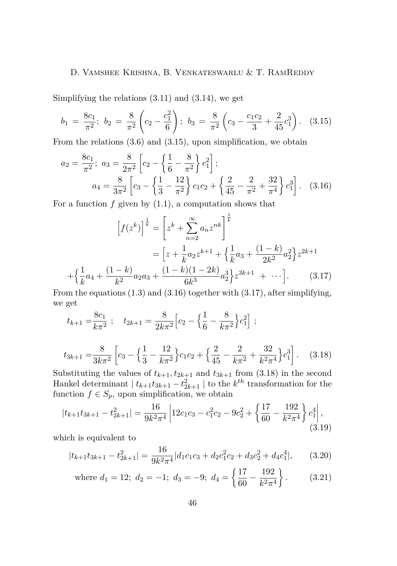Simplifying the relations (3.11) and (3.14), we get

$$
b_1 = \frac{8c_1}{\pi^2}; \ b_2 = \frac{8}{\pi^2} \left( c_2 - \frac{c_1^2}{6} \right); \ b_3 = \frac{8}{\pi^2} \left( c_3 - \frac{c_1 c_2}{3} + \frac{2}{45} c_1^3 \right). \tag{3.15}
$$

From the relations (3.6) and (3.15), upon simplification, we obtain

$$
a_2 = \frac{8c_1}{\pi^2}; \ a_3 = \frac{8}{2\pi^2} \left[ c_2 - \left\{ \frac{1}{6} - \frac{8}{\pi^2} \right\} c_1^2 \right];
$$
  

$$
a_4 = \frac{8}{3\pi^2} \left[ c_3 - \left\{ \frac{1}{3} - \frac{12}{\pi^2} \right\} c_1 c_2 + \left\{ \frac{2}{45} - \frac{2}{\pi^2} + \frac{32}{\pi^4} \right\} c_1^3 \right]. \quad (3.16)
$$

For a function  $f$  given by  $(1.1)$ , a computation shows that

$$
\[f(z^k)\]^\frac{1}{k} = \left[z^k + \sum_{n=2}^\infty a_n z^{nk}\right]^\frac{1}{k}
$$

$$
= \left[z + \frac{1}{k} a_2 z^{k+1} + \left\{\frac{1}{k} a_3 + \frac{(1-k)}{2k^2} a_2^2\right\} z^{2k+1} + \left\{\frac{1}{k} a_4 + \frac{(1-k)}{k^2} a_2 a_3 + \frac{(1-k)(1-2k)}{6k^3} a_2^3\right\} z^{3k+1} + \cdots\right]. \tag{3.17}
$$

From the equations (1.3) and (3.16) together with (3.17), after simplifying, we get

$$
t_{k+1} = \frac{8c_1}{k\pi^2}
$$
;  $t_{2k+1} = \frac{8}{2k\pi^2} \left[ c_2 - \left\{ \frac{1}{6} - \frac{8}{k\pi^2} \right\} c_1^2 \right]$ ;

$$
t_{3k+1} = \frac{8}{3k\pi^2} \left[ c_3 - \left\{ \frac{1}{3} - \frac{12}{k\pi^2} \right\} c_1 c_2 + \left\{ \frac{2}{45} - \frac{2}{k\pi^2} + \frac{32}{k^2\pi^4} \right\} c_1^3 \right].
$$
 (3.18)

Substituting the values of  $t_{k+1}, t_{2k+1}$  and  $t_{3k+1}$  from (3.18) in the second Hankel determinant  $| t_{k+1}t_{3k+1} - t_{2k+1}^2 |$  to the  $k^{th}$  transformation for the function  $f \in S_p$ , upon simplification, we obtain

$$
|t_{k+1}t_{3k+1} - t_{2k+1}^2| = \frac{16}{9k^2\pi^4} \left| 12c_1c_3 - c_1^2c_2 - 9c_2^2 + \left\{ \frac{17}{60} - \frac{192}{k^2\pi^4} \right\} c_1^4 \right|, \tag{3.19}
$$

which is equivalent to

$$
|t_{k+1}t_{3k+1} - t_{2k+1}^2| = \frac{16}{9k^2\pi^4}|d_1c_1c_3 + d_2c_1^2c_2 + d_3c_2^2 + d_4c_1^4|,
$$
 (3.20)

where 
$$
d_1 = 12
$$
;  $d_2 = -1$ ;  $d_3 = -9$ ;  $d_4 = \left\{ \frac{17}{60} - \frac{192}{k^2 \pi^4} \right\}$ . (3.21)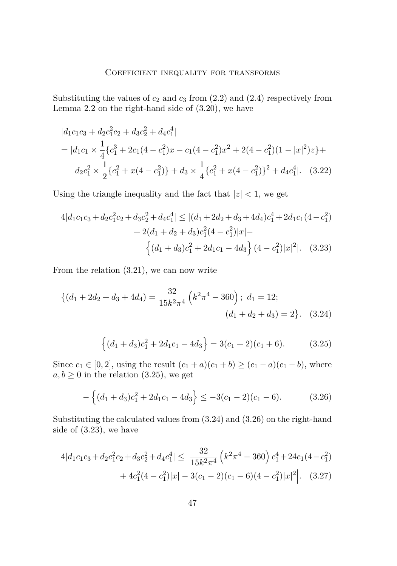Substituting the values of  $c_2$  and  $c_3$  from  $(2.2)$  and  $(2.4)$  respectively from Lemma 2.2 on the right-hand side of (3.20), we have

$$
|d_1c_1c_3 + d_2c_1^2c_2 + d_3c_2^2 + d_4c_1^4|
$$
  
= 
$$
|d_1c_1 \times \frac{1}{4} \{c_1^3 + 2c_1(4 - c_1^2)x - c_1(4 - c_1^2)x^2 + 2(4 - c_1^2)(1 - |x|^2)z\} +
$$
  

$$
d_2c_1^2 \times \frac{1}{2} \{c_1^2 + x(4 - c_1^2)\} + d_3 \times \frac{1}{4} \{c_1^2 + x(4 - c_1^2)\}^2 + d_4c_1^4|.
$$
 (3.22)

Using the triangle inequality and the fact that  $|z| < 1$ , we get

$$
4|d_1c_1c_3 + d_2c_1^2c_2 + d_3c_2^2 + d_4c_1^4| \le |(d_1 + 2d_2 + d_3 + 4d_4)c_1^4 + 2d_1c_1(4 - c_1^2) + 2(d_1 + d_2 + d_3)c_1^2(4 - c_1^2)|x| -
$$

$$
\left\{(d_1 + d_3)c_1^2 + 2d_1c_1 - 4d_3\right\}(4 - c_1^2)|x|^2|\,. \tag{3.23}
$$

From the relation (3.21), we can now write

$$
\{(d_1 + 2d_2 + d_3 + 4d_4) = \frac{32}{15k^2\pi^4} \left(k^2\pi^4 - 360\right); d_1 = 12; (d_1 + d_2 + d_3) = 2\}.
$$
 (3.24)

$$
\{(d_1+d_3)c_1^2+2d_1c_1-4d_3\}=3(c_1+2)(c_1+6). \hspace{1cm} (3.25)
$$

Since  $c_1 \in [0, 2]$ , using the result  $(c_1 + a)(c_1 + b) \ge (c_1 - a)(c_1 - b)$ , where  $a, b \geq 0$  in the relation (3.25), we get

$$
-\left\{(d_1+d_3)c_1^2+2d_1c_1-4d_3\right\} \le -3(c_1-2)(c_1-6). \tag{3.26}
$$

Substituting the calculated values from (3.24) and (3.26) on the right-hand side of (3.23), we have

$$
4|d_1c_1c_3 + d_2c_1^2c_2 + d_3c_2^2 + d_4c_1^4| \le \left|\frac{32}{15k^2\pi^4} \left(k^2\pi^4 - 360\right)c_1^4 + 24c_1(4 - c_1^2) + 4c_1^2(4 - c_1^2)|x| - 3(c_1 - 2)(c_1 - 6)(4 - c_1^2)|x|^2\right|.
$$
 (3.27)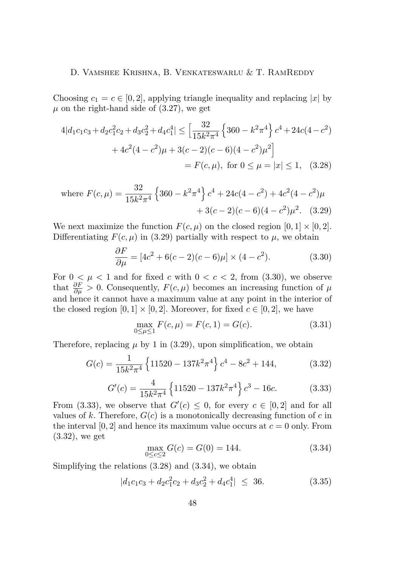Choosing  $c_1 = c \in [0, 2]$ , applying triangle inequality and replacing |*x*| by  $\mu$  on the right-hand side of  $(3.27)$ , we get

$$
4|d_1c_1c_3 + d_2c_1^2c_2 + d_3c_2^2 + d_4c_1^4| \le \left[\frac{32}{15k^2\pi^4} \left\{360 - k^2\pi^4\right\} c^4 + 24c(4 - c^2) + 4c^2(4 - c^2)\mu + 3(c - 2)(c - 6)(4 - c^2)\mu^2\right]
$$
  
=  $F(c, \mu)$ , for  $0 \le \mu = |x| \le 1$ , (3.28)

where 
$$
F(c, \mu) = \frac{32}{15k^2 \pi^4} \left\{ 360 - k^2 \pi^4 \right\} c^4 + 24c(4 - c^2) + 4c^2(4 - c^2)\mu
$$
  
  $+ 3(c - 2)(c - 6)(4 - c^2)\mu^2$ . (3.29)

We next maximize the function  $F(c, \mu)$  on the closed region  $[0, 1] \times [0, 2]$ . Differentiating  $F(c, \mu)$  in (3.29) partially with respect to  $\mu$ , we obtain

$$
\frac{\partial F}{\partial \mu} = [4c^2 + 6(c - 2)(c - 6)\mu] \times (4 - c^2). \tag{3.30}
$$

For  $0 \leq \mu < 1$  and for fixed *c* with  $0 < c < 2$ , from (3.30), we observe that  $\frac{\partial F}{\partial \mu} > 0$ . Consequently,  $F(c, \mu)$  becomes an increasing function of  $\mu$ and hence it cannot have a maximum value at any point in the interior of the closed region  $[0,1] \times [0,2]$ . Moreover, for fixed  $c \in [0,2]$ , we have

$$
\max_{0 \le \mu \le 1} F(c, \mu) = F(c, 1) = G(c). \tag{3.31}
$$

Therefore, replacing  $\mu$  by 1 in (3.29), upon simplification, we obtain

$$
G(c) = \frac{1}{15k^2\pi^4} \left\{ 11520 - 137k^2\pi^4 \right\} c^4 - 8c^2 + 144,\tag{3.32}
$$

$$
G'(c) = \frac{4}{15k^2\pi^4} \left\{ 11520 - 137k^2\pi^4 \right\} c^3 - 16c.
$$
 (3.33)

From (3.33), we observe that  $G'(c) \leq 0$ , for every  $c \in [0,2]$  and for all values of *k*. Therefore,  $G(c)$  is a monotonically decreasing function of *c* in the interval  $[0, 2]$  and hence its maximum value occurs at  $c = 0$  only. From (3.32), we get

$$
\max_{0 \le c \le 2} G(c) = G(0) = 144. \tag{3.34}
$$

Simplifying the relations (3.28) and (3.34), we obtain

$$
|d_1c_1c_3 + d_2c_1^2c_2 + d_3c_2^2 + d_4c_1^4| \le 36. \tag{3.35}
$$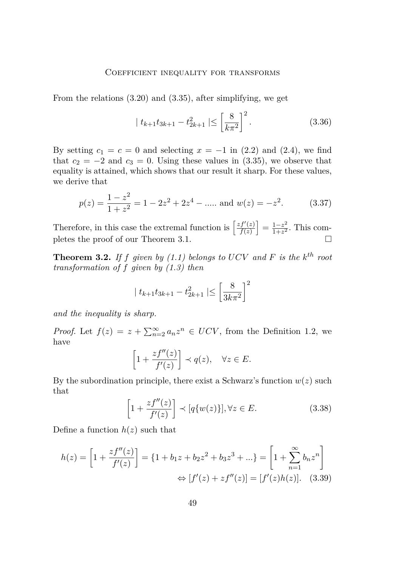From the relations (3.20) and (3.35), after simplifying, we get

$$
|t_{k+1}t_{3k+1} - t_{2k+1}^2| \le \left[\frac{8}{k\pi^2}\right]^2.
$$
 (3.36)

By setting  $c_1 = c = 0$  and selecting  $x = -1$  in (2.2) and (2.4), we find that  $c_2 = -2$  and  $c_3 = 0$ . Using these values in  $(3.35)$ , we observe that equality is attained, which shows that our result it sharp. For these values, we derive that

$$
p(z) = \frac{1 - z^2}{1 + z^2} = 1 - 2z^2 + 2z^4 - \dots \text{ and } w(z) = -z^2. \tag{3.37}
$$

Therefore, in this case the extremal function is  $\frac{zf'(z)}{f(z)}$  $\left[\frac{f'(z)}{f(z)}\right]=\frac{1-z^2}{1+z^2}$  $\frac{1-z^2}{1+z^2}$ . This completes the proof of our Theorem 3.1.

**Theorem 3.2.** If  $f$  given by (1.1) belongs to  $UCV$  and  $F$  is the  $k^{th}$  root *transformation of f given by (1.3) then*

$$
|t_{k+1}t_{3k+1} - t_{2k+1}^2| \le \left[\frac{8}{3k\pi^2}\right]^2
$$

*and the inequality is sharp.*

*Proof.* Let  $f(z) = z + \sum_{n=2}^{\infty} a_n z^n \in UCV$ , from the Definition 1.2, we have

$$
\[1 + \frac{zf''(z)}{f'(z)}\] \prec q(z), \quad \forall z \in E.
$$

By the subordination principle, there exist a Schwarz's function  $w(z)$  such that

$$
\[1 + \frac{zf''(z)}{f'(z)}\] \prec [q\{w(z)\}], \forall z \in E. \tag{3.38}
$$

Define a function  $h(z)$  such that

$$
h(z) = \left[1 + \frac{zf''(z)}{f'(z)}\right] = \left\{1 + b_1 z + b_2 z^2 + b_3 z^3 + \ldots\right\} = \left[1 + \sum_{n=1}^{\infty} b_n z^n\right]
$$

$$
\Leftrightarrow [f'(z) + z f''(z)] = [f'(z)h(z)]. \quad (3.39)
$$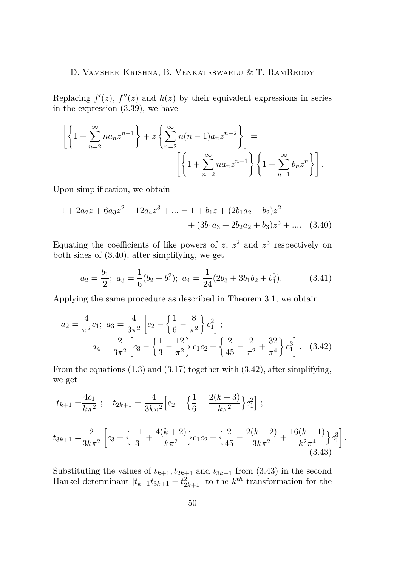Replacing  $f'(z)$ ,  $f''(z)$  and  $h(z)$  by their equivalent expressions in series in the expression (3.39), we have

$$
\left[\left\{1+\sum_{n=2}^{\infty}na_nz^{n-1}\right\}+z\left\{\sum_{n=2}^{\infty}n(n-1)a_nz^{n-2}\right\}\right]=\left[\left\{1+\sum_{n=2}^{\infty}na_nz^{n-1}\right\}\left\{1+\sum_{n=1}^{\infty}b_nz^n\right\}\right].
$$

Upon simplification, we obtain

$$
1 + 2a_2z + 6a_3z^2 + 12a_4z^3 + \dots = 1 + b_1z + (2b_1a_2 + b_2)z^2
$$
  
+  $(3b_1a_3 + 2b_2a_2 + b_3)z^3 + \dots$  (3.40)

Equating the coefficients of like powers of  $z$ ,  $z^2$  and  $z^3$  respectively on both sides of (3.40), after simplifying, we get

$$
a_2 = \frac{b_1}{2}; \ a_3 = \frac{1}{6}(b_2 + b_1^2); \ a_4 = \frac{1}{24}(2b_3 + 3b_1b_2 + b_1^3). \tag{3.41}
$$

Applying the same procedure as described in Theorem 3.1, we obtain

$$
a_2 = \frac{4}{\pi^2} c_1; \ a_3 = \frac{4}{3\pi^2} \left[ c_2 - \left\{ \frac{1}{6} - \frac{8}{\pi^2} \right\} c_1^2 \right];
$$
  

$$
a_4 = \frac{2}{3\pi^2} \left[ c_3 - \left\{ \frac{1}{3} - \frac{12}{\pi^2} \right\} c_1 c_2 + \left\{ \frac{2}{45} - \frac{2}{\pi^2} + \frac{32}{\pi^4} \right\} c_1^3 \right].
$$
 (3.42)

From the equations (1.3) and (3.17) together with (3.42), after simplifying, we get

$$
t_{k+1} = \frac{4c_1}{k\pi^2} \; ; \quad t_{2k+1} = \frac{4}{3k\pi^2} \Big[ c_2 - \left\{ \frac{1}{6} - \frac{2(k+3)}{k\pi^2} \right\} c_1^2 \Big] \; ;
$$
  

$$
t_{3k+1} = \frac{2}{3k\pi^2} \Big[ c_3 + \left\{ \frac{-1}{3} + \frac{4(k+2)}{k\pi^2} \right\} c_1 c_2 + \left\{ \frac{2}{45} - \frac{2(k+2)}{3k\pi^2} + \frac{16(k+1)}{k^2\pi^4} \right\} c_1^3 \Big]
$$
  
(3.43)

*.*

Substituting the values of  $t_{k+1}, t_{2k+1}$  and  $t_{3k+1}$  from (3.43) in the second Hankel determinant  $|t_{k+1}t_{3k+1} - t_{2k+1}^2|$  to the  $k^{th}$  transformation for the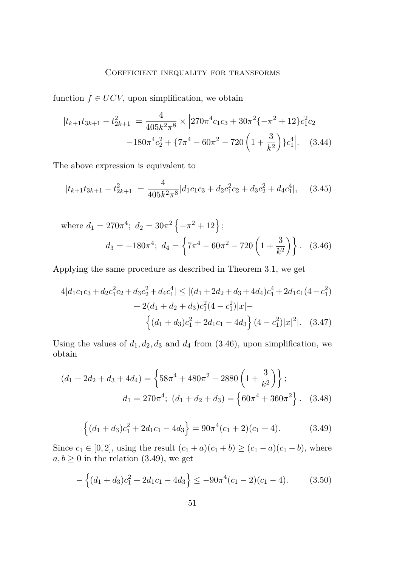function  $f \in UCV$ , upon simplification, we obtain

$$
|t_{k+1}t_{3k+1} - t_{2k+1}^2| = \frac{4}{405k^2\pi^8} \times |270\pi^4 c_1 c_3 + 30\pi^2 \{-\pi^2 + 12\} c_1^2 c_2
$$

$$
-180\pi^4 c_2^2 + \{7\pi^4 - 60\pi^2 - 720\left(1 + \frac{3}{k^2}\right)\} c_1^4 \Big|.\tag{3.44}
$$

The above expression is equivalent to

$$
|t_{k+1}t_{3k+1} - t_{2k+1}^2| = \frac{4}{405k^2\pi^8} |d_1c_1c_3 + d_2c_1^2c_2 + d_3c_2^2 + d_4c_1^4|, \quad (3.45)
$$

where 
$$
d_1 = 270\pi^4
$$
;  $d_2 = 30\pi^2 \left\{-\pi^2 + 12\right\}$ ;  
\n $d_3 = -180\pi^4$ ;  $d_4 = \left\{7\pi^4 - 60\pi^2 - 720\left(1 + \frac{3}{k^2}\right)\right\}$ . (3.46)

Applying the same procedure as described in Theorem 3.1, we get

$$
4|d_1c_1c_3 + d_2c_1^2c_2 + d_3c_2^2 + d_4c_1^4| \le |(d_1 + 2d_2 + d_3 + 4d_4)c_1^4 + 2d_1c_1(4 - c_1^2) + 2(d_1 + d_2 + d_3)c_1^2(4 - c_1^2)|x| - \left\{(d_1 + d_3)c_1^2 + 2d_1c_1 - 4d_3\right\}(4 - c_1^2)|x|^2|. \quad (3.47)
$$

Using the values of  $d_1, d_2, d_3$  and  $d_4$  from (3.46), upon simplification, we obtain

$$
(d_1 + 2d_2 + d_3 + 4d_4) = \left\{ 58\pi^4 + 480\pi^2 - 2880 \left( 1 + \frac{3}{k^2} \right) \right\};
$$
  

$$
d_1 = 270\pi^4; \ (d_1 + d_2 + d_3) = \left\{ 60\pi^4 + 360\pi^2 \right\}. \tag{3.48}
$$

$$
\{(d_1+d_3)c_1^2+2d_1c_1-4d_3\}=90\pi^4(c_1+2)(c_1+4). \hspace{1cm} (3.49)
$$

Since  $c_1 \in [0, 2]$ , using the result  $(c_1 + a)(c_1 + b) \ge (c_1 - a)(c_1 - b)$ , where  $a, b \geq 0$  in the relation (3.49), we get

$$
-\left\{(d_1+d_3)c_1^2+2d_1c_1-4d_3\right\} \le -90\pi^4(c_1-2)(c_1-4). \tag{3.50}
$$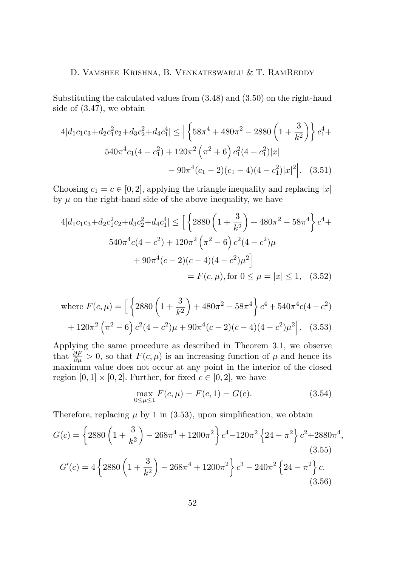Substituting the calculated values from (3.48) and (3.50) on the right-hand side of (3.47), we obtain

$$
4|d_1c_1c_3 + d_2c_1^2c_2 + d_3c_2^2 + d_4c_1^4| \le \left| \left\{ 58\pi^4 + 480\pi^2 - 2880 \left( 1 + \frac{3}{k^2} \right) \right\} c_1^4 + 540\pi^4 c_1 (4 - c_1^2) + 120\pi^2 \left( \pi^2 + 6 \right) c_1^2 (4 - c_1^2)|x| - 90\pi^4 (c_1 - 2)(c_1 - 4)(4 - c_1^2)|x|^2 \right|.
$$
 (3.51)

Choosing  $c_1 = c \in [0, 2]$ , applying the triangle inequality and replacing |*x*| by  $\mu$  on the right-hand side of the above inequality, we have

$$
4|d_1c_1c_3 + d_2c_1^2c_2 + d_3c_2^2 + d_4c_1^4| \le \left[ \left\{ 2880 \left( 1 + \frac{3}{k^2} \right) + 480\pi^2 - 58\pi^4 \right\} c^4 + 540\pi^4 c(4 - c^2) + 120\pi^2 \left( \pi^2 - 6 \right) c^2 (4 - c^2) \mu + 90\pi^4 (c - 2)(c - 4)(4 - c^2) \mu^2 \right] = F(c, \mu), \text{ for } 0 \le \mu = |x| \le 1, \quad (3.52)
$$

where 
$$
F(c, \mu) = \left[ \left\{ 2880 \left( 1 + \frac{3}{k^2} \right) + 480\pi^2 - 58\pi^4 \right\} c^4 + 540\pi^4 c (4 - c^2) + 120\pi^2 \left( \pi^2 - 6 \right) c^2 (4 - c^2) \mu + 90\pi^4 (c - 2)(c - 4)(4 - c^2) \mu^2 \right].
$$
 (3.53)

Applying the same procedure as described in Theorem 3.1, we observe that  $\frac{\partial F}{\partial \mu} > 0$ , so that  $F(c, \mu)$  is an increasing function of  $\mu$  and hence its maximum value does not occur at any point in the interior of the closed region  $[0,1] \times [0,2]$ . Further, for fixed  $c \in [0,2]$ , we have

$$
\max_{0 \le \mu \le 1} F(c, \mu) = F(c, 1) = G(c). \tag{3.54}
$$

Therefore, replacing  $\mu$  by 1 in (3.53), upon simplification, we obtain

$$
G(c) = \left\{ 2880 \left( 1 + \frac{3}{k^2} \right) - 268\pi^4 + 1200\pi^2 \right\} c^4 - 120\pi^2 \left\{ 24 - \pi^2 \right\} c^2 + 2880\pi^4,
$$
\n(3.55)\n
$$
G'(c) = 4 \left\{ 2880 \left( 1 + \frac{3}{k^2} \right) - 268\pi^4 + 1200\pi^2 \right\} c^3 - 240\pi^2 \left\{ 24 - \pi^2 \right\} c.
$$
\n(3.56)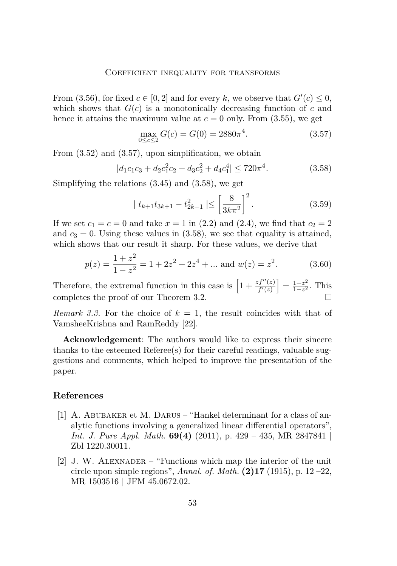<span id="page-15-0"></span>From (3.56), for fixed  $c \in [0, 2]$  and for every k, we observe that  $G'(c) \leq 0$ , which shows that  $G(c)$  is a monotonically decreasing function of  $c$  and hence it attains the maximum value at  $c = 0$  only. From  $(3.55)$ , we get

$$
\max_{0 \le c \le 2} G(c) = G(0) = 2880\pi^4. \tag{3.57}
$$

From  $(3.52)$  and  $(3.57)$ , upon simplification, we obtain

$$
|d_1c_1c_3 + d_2c_1^2c_2 + d_3c_2^2 + d_4c_1^4| \le 720\pi^4. \tag{3.58}
$$

Simplifying the relations (3.45) and (3.58), we get

$$
|t_{k+1}t_{3k+1} - t_{2k+1}^2| \le \left[\frac{8}{3k\pi^2}\right]^2.
$$
 (3.59)

If we set  $c_1 = c = 0$  and take  $x = 1$  in (2.2) and (2.4), we find that  $c_2 = 2$ and  $c_3 = 0$ . Using these values in  $(3.58)$ , we see that equality is attained, which shows that our result it sharp. For these values, we derive that

$$
p(z) = \frac{1+z^2}{1-z^2} = 1 + 2z^2 + 2z^4 + \dots \text{ and } w(z) = z^2.
$$
 (3.60)

Therefore, the extremal function in this case is  $\left[1 + \frac{zf''(z)}{f'(z)}\right] = \frac{1+z^2}{1-z^2}$  $\frac{1+z^2}{1-z^2}$ . This completes the proof of our Theorem 3.2.  $\Box$ 

*Remark 3.3.* For the choice of  $k = 1$ , the result coincides with that of VamsheeKrishna and RamReddy [\[22\]](#page-17-0).

**Acknowledgement**: The authors would like to express their sincere thanks to the esteemed  $Reference(s)$  for their careful readings, valuable suggestions and comments, which helped to improve the presentation of the paper.

## **References**

- [1] A. ABUBAKER et M. DARUS "Hankel determinant for a class of analytic functions involving a generalized linear differential operators", *Int. J. Pure Appl. Math.* **69(4)** (2011), p. 429 – 435, MR 2847841 | Zbl 1220.30011.
- [2] J. W. ALEXNADER "Functions which map the interior of the unit circle upon simple regions", *Annal. of. Math.* **(2)17** (1915), p. 12 –22, MR 1503516 | JFM 45.0672.02.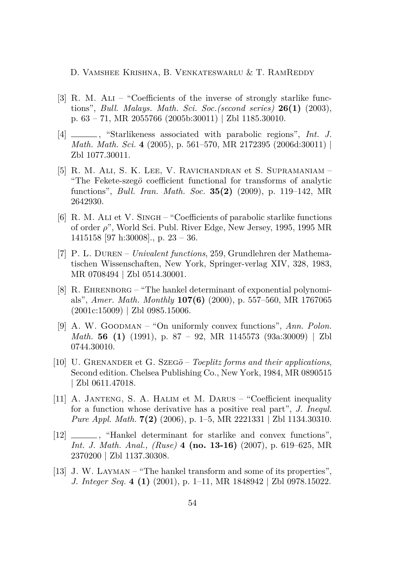- <span id="page-16-0"></span>[3] R. M. Ali – "Coefficients of the inverse of strongly starlike functions", *Bull. Malays. Math. Sci. Soc.(second series)* **26(1)** (2003), p. 63 – 71, MR 2055766 (2005b:30011) | Zbl 1185.30010.
- [4] , "Starlikeness associated with parabolic regions", *Int. J. Math. Math. Sci.* **4** (2005), p. 561–570, MR 2172395 (2006d:30011) | Zbl 1077.30011.
- [5] R. M. Ali, S. K. Lee, V. Ravichandran et S. Supramaniam "The Fekete-szeg*o*¨ coefficient functional for transforms of analytic functions", *Bull. Iran. Math. Soc.* **35(2)** (2009), p. 119–142, MR 2642930.
- [6] R. M. Ali et V. Singh "Coefficients of parabolic starlike functions of order *ρ*", World Sci. Publ. River Edge, New Jersey, 1995, 1995 MR 1415158 [97 h:30008]., p. 23 – 36.
- [7] P. L. Duren *Univalent functions*, 259, Grundlehren der Mathematischen Wissenschaften, New York, Springer-verlag XIV, 328, 1983, MR 0708494 | Zbl 0514.30001.
- [8] R. EHRENBORG "The hankel determinant of exponential polynomials", *Amer. Math. Monthly* **107(6)** (2000), p. 557–560, MR 1767065 (2001c:15009) | Zbl 0985.15006.
- [9] A. W. GOODMAN "On uniformly convex functions", *Ann. Polon. Math.* **56 (1)** (1991), p. 87 – 92, MR 1145573 (93a:30009) | Zbl 0744.30010.
- [10] U. Grenander et G. Szeg*o*¨ *Toeplitz forms and their applications*, Second edition. Chelsea Publishing Co., New York, 1984, MR 0890515 | Zbl 0611.47018.
- [11] A. Janteng, S. A. Halim et M. Darus "Coefficient inequality for a function whose derivative has a positive real part", *J. Inequl. Pure Appl. Math.* **7(2)** (2006), p. 1–5, MR 2221331 | Zbl 1134.30310.
- [12]  $\qquad \qquad$ , "Hankel determinant for starlike and convex functions", *Int. J. Math. Anal., (Ruse)* **4 (no. 13-16)** (2007), p. 619–625, MR 2370200 | Zbl 1137.30308.
- [13] J. W. LAYMAN "The hankel transform and some of its properties", *J. Integer Seq.* **4 (1)** (2001), p. 1–11, MR 1848942 | Zbl 0978.15022.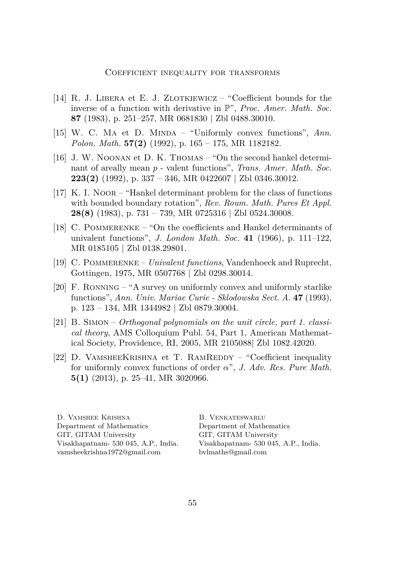- <span id="page-17-0"></span>[14] R. J. LIBERA et E. J. ZLOTKIEWICZ – "Coefficient bounds for the inverse of a function with derivative in P", *Proc. Amer. Math. Soc.* **87** (1983), p. 251–257, MR 0681830 | Zbl 0488.30010.
- [15] W. C. MA et D. MINDA "Uniformly convex functions", Ann. *Polon. Math.* **57(2)** (1992), p. 165 – 175, MR 1182182.
- [16] J. W. Noonan et D. K. Thomas "On the second hankel determinant of areally mean *p* - valent functions", *Trans. Amer. Math. Soc.* **223(2)** (1992), p. 337 – 346, MR 0422607 | Zbl 0346.30012.
- [17] K. I. Noor "Hankel determinant problem for the class of functions with bounded boundary rotation", *Rev. Roum. Math. Pures Et Appl.* **28(8)** (1983), p. 731 – 739, MR 0725316 | Zbl 0524.30008.
- [18] C. Pommerenke "On the coefficients and Hankel determinants of univalent functions", *J. London Math. Soc.* **41** (1966), p. 111–122, MR 0185105 | Zbl 0138.29801.
- [19] C. Pommerenke *Univalent functions*, Vandenhoeck and Ruprecht, Gottingen, 1975, MR 0507768 | Zbl 0298.30014.
- [20] F. Ronning "A survey on uniformly convex and uniformly starlike functions", *Ann. Univ. Mariae Curie - Sklodowska Sect. A.* **47** (1993), p. 123 – 134, MR 1344982 | Zbl 0879.30004.
- [21] B. Simon *Orthogonal polynomials on the unit circle, part 1. classical theory*, AMS Colloquium Publ. 54, Part 1, American Mathematical Society, Providence, RI, 2005, MR 2105088| Zbl 1082.42020.
- [22] D. VAMSHEEKRISHNA et T. RAMREDDY "Coefficient inequality for uniformly convex functions of order *α*", *J. Adv. Res. Pure Math.* **5(1)** (2013), p. 25–41, MR 3020966.

D. Vamshee Krishna Department of Mathematics GIT, GITAM University Visakhapatnam- 530 045, A.P., India. [vamsheekrishna1972@gmail.com](mailto:vamsheekrishna1972@gmail.com)

B. Venkateswarlu Department of Mathematics GIT, GITAM University Visakhapatnam- 530 045, A.P., India. [bvlmaths@gmail.com](mailto:bvlmaths@gmail.com)